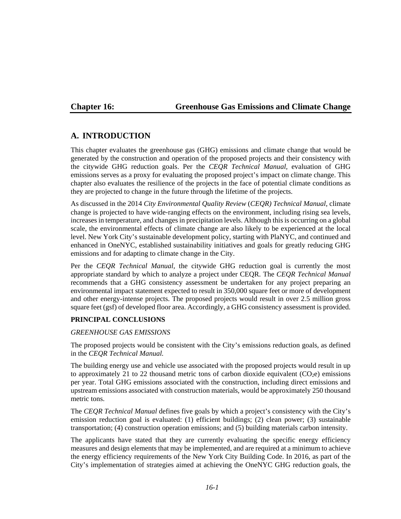## **Chapter 16: Greenhouse Gas Emissions and Climate Change**

# **A. INTRODUCTION**

This chapter evaluates the greenhouse gas (GHG) emissions and climate change that would be generated by the construction and operation of the proposed projects and their consistency with the citywide GHG reduction goals. Per the *CEQR Technical Manual,* evaluation of GHG emissions serves as a proxy for evaluating the proposed project's impact on climate change. This chapter also evaluates the resilience of the projects in the face of potential climate conditions as they are projected to change in the future through the lifetime of the projects.

As discussed in the 2014 *City Environmental Quality Review* (*CEQR) Technical Manual*, climate change is projected to have wide‐ranging effects on the environment, including rising sea levels, increases in temperature, and changes in precipitation levels. Although this is occurring on a global scale, the environmental effects of climate change are also likely to be experienced at the local level. New York City's sustainable development policy, starting with PlaNYC, and continued and enhanced in OneNYC, established sustainability initiatives and goals for greatly reducing GHG emissions and for adapting to climate change in the City.

Per the *CEQR Technical Manual,* the citywide GHG reduction goal is currently the most appropriate standard by which to analyze a project under CEQR. The *CEQR Technical Manual*  recommends that a GHG consistency assessment be undertaken for any project preparing an environmental impact statement expected to result in 350,000 square feet or more of development and other energy-intense projects. The proposed projects would result in over 2.5 million gross square feet (gsf) of developed floor area. Accordingly, a GHG consistency assessment is provided.

## **PRINCIPAL CONCLUSIONS**

### *GREENHOUSE GAS EMISSIONS*

The proposed projects would be consistent with the City's emissions reduction goals, as defined in the *CEQR Technical Manual.*

The building energy use and vehicle use associated with the proposed projects would result in up to approximately 21 to 22 thousand metric tons of carbon dioxide equivalent  $(CO<sub>2</sub>e)$  emissions per year. Total GHG emissions associated with the construction, including direct emissions and upstream emissions associated with construction materials, would be approximately 250 thousand metric tons.

The *CEQR Technical Manual* defines five goals by which a project's consistency with the City's emission reduction goal is evaluated: (1) efficient buildings; (2) clean power; (3) sustainable transportation; (4) construction operation emissions; and (5) building materials carbon intensity.

The applicants have stated that they are currently evaluating the specific energy efficiency measures and design elements that may be implemented, and are required at a minimum to achieve the energy efficiency requirements of the New York City Building Code. In 2016, as part of the City's implementation of strategies aimed at achieving the OneNYC GHG reduction goals, the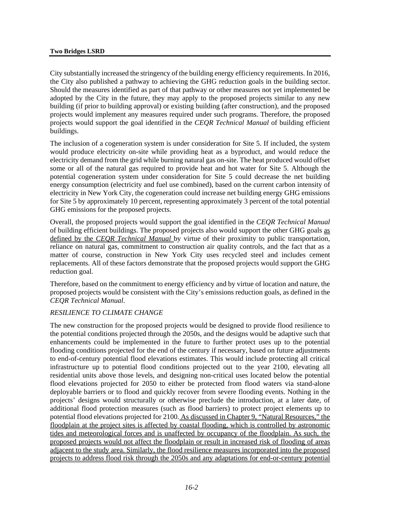City substantially increased the stringency of the building energy efficiency requirements. In 2016, the City also published a pathway to achieving the GHG reduction goals in the building sector. Should the measures identified as part of that pathway or other measures not yet implemented be adopted by the City in the future, they may apply to the proposed projects similar to any new building (if prior to building approval) or existing building (after construction), and the proposed projects would implement any measures required under such programs. Therefore, the proposed projects would support the goal identified in the *CEQR Technical Manual* of building efficient buildings.

The inclusion of a cogeneration system is under consideration for Site 5. If included, the system would produce electricity on-site while providing heat as a byproduct, and would reduce the electricity demand from the grid while burning natural gas on-site. The heat produced would offset some or all of the natural gas required to provide heat and hot water for Site 5. Although the potential cogeneration system under consideration for Site 5 could decrease the net building energy consumption (electricity and fuel use combined), based on the current carbon intensity of electricity in New York City, the cogeneration could increase net building energy GHG emissions for Site 5 by approximately 10 percent, representing approximately 3 percent of the total potential GHG emissions for the proposed projects.

Overall, the proposed projects would support the goal identified in the *CEQR Technical Manual* of building efficient buildings. The proposed projects also would support the other GHG goals as defined by the *CEQR Technical Manual* by virtue of their proximity to public transportation, reliance on natural gas, commitment to construction air quality controls, and the fact that as a matter of course, construction in New York City uses recycled steel and includes cement replacements. All of these factors demonstrate that the proposed projects would support the GHG reduction goal.

Therefore, based on the commitment to energy efficiency and by virtue of location and nature, the proposed projects would be consistent with the City's emissions reduction goals, as defined in the *CEQR Technical Manual*.

### *RESILIENCE TO CLIMATE CHANGE*

The new construction for the proposed projects would be designed to provide flood resilience to the potential conditions projected through the 2050s, and the designs would be adaptive such that enhancements could be implemented in the future to further protect uses up to the potential flooding conditions projected for the end of the century if necessary, based on future adjustments to end-of-century potential flood elevations estimates. This would include protecting all critical infrastructure up to potential flood conditions projected out to the year 2100, elevating all residential units above those levels, and designing non-critical uses located below the potential flood elevations projected for 2050 to either be protected from flood waters via stand-alone deployable barriers or to flood and quickly recover from severe flooding events. Nothing in the projects' designs would structurally or otherwise preclude the introduction, at a later date, of additional flood protection measures (such as flood barriers) to protect project elements up to potential flood elevations projected for 2100. As discussed in Chapter 9, "Natural Resources," the floodplain at the project sites is affected by coastal flooding, which is controlled by astronomic tides and meteorological forces and is unaffected by occupancy of the floodplain. As such, the proposed projects would not affect the floodplain or result in increased risk of flooding of areas adjacent to the study area. Similarly, the flood resilience measures incorporated into the proposed projects to address flood risk through the 2050s and any adaptations for end-or-century potential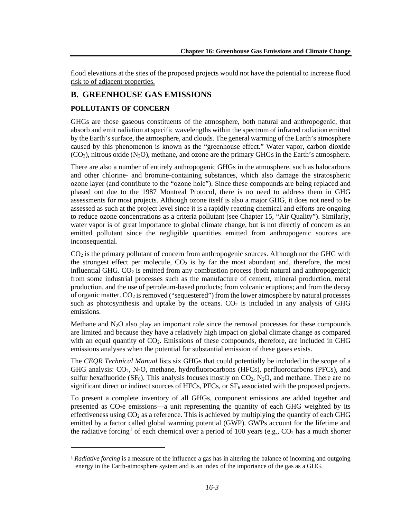flood elevations at the sites of the proposed projects would not have the potential to increase flood risk to of adjacent properties.

# **B. GREENHOUSE GAS EMISSIONS**

## **POLLUTANTS OF CONCERN**

 $\overline{a}$ 

GHGs are those gaseous constituents of the atmosphere, both natural and anthropogenic, that absorb and emit radiation at specific wavelengths within the spectrum of infrared radiation emitted by the Earth's surface, the atmosphere, and clouds. The general warming of the Earth's atmosphere caused by this phenomenon is known as the "greenhouse effect." Water vapor, carbon dioxide  $(CO<sub>2</sub>)$ , nitrous oxide  $(N<sub>2</sub>O)$ , methane, and ozone are the primary GHGs in the Earth's atmosphere.

There are also a number of entirely anthropogenic GHGs in the atmosphere, such as halocarbons and other chlorine- and bromine-containing substances, which also damage the stratospheric ozone layer (and contribute to the "ozone hole"). Since these compounds are being replaced and phased out due to the 1987 Montreal Protocol, there is no need to address them in GHG assessments for most projects. Although ozone itself is also a major GHG, it does not need to be assessed as such at the project level since it is a rapidly reacting chemical and efforts are ongoing to reduce ozone concentrations as a criteria pollutant (see Chapter 15, "Air Quality"). Similarly, water vapor is of great importance to global climate change, but is not directly of concern as an emitted pollutant since the negligible quantities emitted from anthropogenic sources are inconsequential.

 $CO<sub>2</sub>$  is the primary pollutant of concern from anthropogenic sources. Although not the GHG with the strongest effect per molecule,  $CO<sub>2</sub>$  is by far the most abundant and, therefore, the most influential GHG.  $CO<sub>2</sub>$  is emitted from any combustion process (both natural and anthropogenic); from some industrial processes such as the manufacture of cement, mineral production, metal production, and the use of petroleum-based products; from volcanic eruptions; and from the decay of organic matter.  $CO_2$  is removed ("sequestered") from the lower atmosphere by natural processes such as photosynthesis and uptake by the oceans.  $CO<sub>2</sub>$  is included in any analysis of GHG emissions.

Methane and  $N_2O$  also play an important role since the removal processes for these compounds are limited and because they have a relatively high impact on global climate change as compared with an equal quantity of  $CO<sub>2</sub>$ . Emissions of these compounds, therefore, are included in GHG emissions analyses when the potential for substantial emission of these gases exists.

The *CEQR Technical Manual* lists six GHGs that could potentially be included in the scope of a GHG analysis:  $CO_2$ ,  $N_2O$ , methane, hydrofluorocarbons (HFCs), perfluorocarbons (PFCs), and sulfur hexafluoride  $(SF_6)$ . This analysis focuses mostly on  $CO_2$ , N<sub>2</sub>O, and methane. There are no significant direct or indirect sources of HFCs,  $PFCs$ , or  $SF<sub>6</sub>$  associated with the proposed projects.

To present a complete inventory of all GHGs, component emissions are added together and presented as CO2e emissions—a unit representing the quantity of each GHG weighted by its effectiveness using  $CO<sub>2</sub>$  as a reference. This is achieved by multiplying the quantity of each GHG emitted by a factor called global warming potential (GWP). GWPs account for the lifetime and the radiative forcing<sup>[1](#page-2-0)</sup> of each chemical over a period of 100 years (e.g.,  $CO<sub>2</sub>$  has a much shorter

<span id="page-2-0"></span><sup>1</sup> *Radiative forcing* is a measure of the influence a gas has in altering the balance of incoming and outgoing energy in the Earth-atmosphere system and is an index of the importance of the gas as a GHG.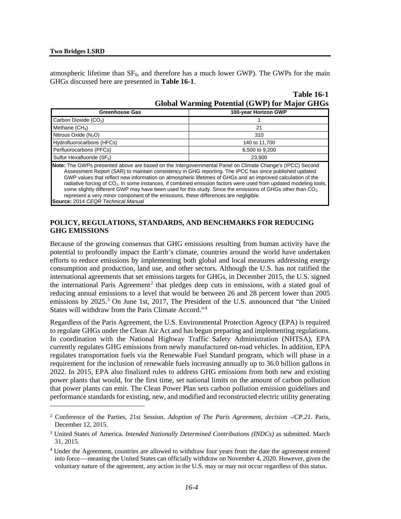$\overline{a}$ 

atmospheric lifetime than  $SF_6$ , and therefore has a much lower GWP). The GWPs for the main GHGs discussed here are presented in **Table 16-1**.

| 100-year Horizon GWP<br><b>Greenhouse Gas</b>                                                                                                                                                                                                                                                                                                                                                                                                                                                                                                                                                                                                                                                                                     |               |  |  |  |  |
|-----------------------------------------------------------------------------------------------------------------------------------------------------------------------------------------------------------------------------------------------------------------------------------------------------------------------------------------------------------------------------------------------------------------------------------------------------------------------------------------------------------------------------------------------------------------------------------------------------------------------------------------------------------------------------------------------------------------------------------|---------------|--|--|--|--|
| Carbon Dioxide (CO <sub>2</sub> )                                                                                                                                                                                                                                                                                                                                                                                                                                                                                                                                                                                                                                                                                                 |               |  |  |  |  |
| Methane $(CH_4)$                                                                                                                                                                                                                                                                                                                                                                                                                                                                                                                                                                                                                                                                                                                  | 21            |  |  |  |  |
| Nitrous Oxide $(N_2O)$                                                                                                                                                                                                                                                                                                                                                                                                                                                                                                                                                                                                                                                                                                            | 310           |  |  |  |  |
| Hydrofluorocarbons (HFCs)                                                                                                                                                                                                                                                                                                                                                                                                                                                                                                                                                                                                                                                                                                         | 140 to 11,700 |  |  |  |  |
| Perfluorocarbons (PFCs)<br>6.500 to 9.200                                                                                                                                                                                                                                                                                                                                                                                                                                                                                                                                                                                                                                                                                         |               |  |  |  |  |
| Sulfur Hexafluoride $(SF_6)$<br>23.900                                                                                                                                                                                                                                                                                                                                                                                                                                                                                                                                                                                                                                                                                            |               |  |  |  |  |
| <b>Note:</b> The GWPs presented above are based on the Intergovernmental Panel on Climate Change's (IPCC) Second<br>Assessment Report (SAR) to maintain consistency in GHG reporting. The IPCC has since published updated<br>GWP values that reflect new information on atmospheric lifetimes of GHGs and an improved calculation of the<br>radiative forcing of CO <sub>2</sub> . In some instances, if combined emission factors were used from updated modeling tools,<br>some slightly different GWP may have been used for this study. Since the emissions of GHGs other than CO <sub>2</sub><br>represent a very minor component of the emissions, these differences are negligible.<br>Source: 2014 CEQR Technical Manual |               |  |  |  |  |

| <b>Global Warming Potential (GWP) for Major GHGs</b> |  |  |  |
|------------------------------------------------------|--|--|--|
|                                                      |  |  |  |

**Table 16-1**

#### **POLICY, REGULATIONS, STANDARDS, AND BENCHMARKS FOR REDUCING GHG EMISSIONS**

Because of the growing consensus that GHG emissions resulting from human activity have the potential to profoundly impact the Earth's climate, countries around the world have undertaken efforts to reduce emissions by implementing both global and local measures addressing energy consumption and production, land use, and other sectors. Although the U.S. has not ratified the international agreements that set emissions targets for GHGs, in December 2015, the U.S. signed the international Paris Agreement<sup>[2](#page-3-0)</sup> that pledges deep cuts in emissions, with a stated goal of reducing annual emissions to a level that would be between 26 and 28 percent lower than 2005 emissions by 2025.<sup>[3](#page-3-1)</sup> On June 1st, 2017, The President of the U.S. announced that "the United States will withdraw from the Paris Climate Accord."[4](#page-3-2)

Regardless of the Paris Agreement, the U.S. Environmental Protection Agency (EPA) is required to regulate GHGs under the Clean Air Act and has begun preparing and implementing regulations. In coordination with the National Highway Traffic Safety Administration (NHTSA), EPA currently regulates GHG emissions from newly manufactured on-road vehicles. In addition, EPA regulates transportation fuels via the Renewable Fuel Standard program, which will phase in a requirement for the inclusion of renewable fuels increasing annually up to 36.0 billion gallons in 2022. In 2015, EPA also finalized rules to address GHG emissions from both new and existing power plants that would, for the first time, set national limits on the amount of carbon pollution that power plants can emit. The Clean Power Plan sets carbon pollution emission guidelines and performance standards for existing, new, and modified and reconstructed electric utility generating

<span id="page-3-0"></span><sup>2</sup> Conference of the Parties, 21st Session. *Adoption of The Paris Agreement, decision -/CP.21*. Paris, December 12, 2015.

<span id="page-3-1"></span><sup>3</sup> United States of America*. Intended Nationally Determined Contributions (INDCs)* as submitted. March 31, 2015.

<span id="page-3-2"></span><sup>4</sup> Under the Agreement, countries are allowed to withdraw four years from the date the agreement entered into force — meaning the United States can officially withdraw on November 4, 2020. However, given the voluntary nature of the agreement, any action in the U.S. may or may not occur regardless of this status.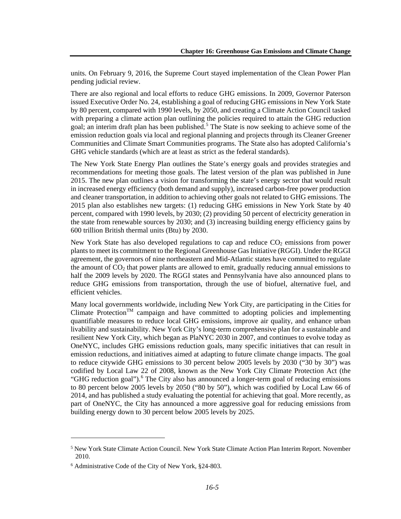units. On February 9, 2016, the Supreme Court stayed implementation of the Clean Power Plan pending judicial review.

There are also regional and local efforts to reduce GHG emissions. In 2009, Governor Paterson issued Executive Order No. 24, establishing a goal of reducing GHG emissions in New York State by 80 percent, compared with 1990 levels, by 2050, and creating a Climate Action Council tasked with preparing a climate action plan outlining the policies required to attain the GHG reduction goal; an interim draft plan has been published.<sup>[5](#page-4-0)</sup> The State is now seeking to achieve some of the emission reduction goals via local and regional planning and projects through its Cleaner Greener Communities and Climate Smart Communities programs. The State also has adopted California's GHG vehicle standards (which are at least as strict as the federal standards).

The New York State Energy Plan outlines the State's energy goals and provides strategies and recommendations for meeting those goals. The latest version of the plan was published in June 2015. The new plan outlines a vision for transforming the state's energy sector that would result in increased energy efficiency (both demand and supply), increased carbon-free power production and cleaner transportation, in addition to achieving other goals not related to GHG emissions. The 2015 plan also establishes new targets: (1) reducing GHG emissions in New York State by 40 percent, compared with 1990 levels, by 2030; (2) providing 50 percent of electricity generation in the state from renewable sources by 2030; and (3) increasing building energy efficiency gains by 600 trillion British thermal units (Btu) by 2030.

New York State has also developed regulations to cap and reduce  $CO<sub>2</sub>$  emissions from power plants to meet its commitment to the Regional Greenhouse Gas Initiative (RGGI). Under the RGGI agreement, the governors of nine northeastern and Mid-Atlantic states have committed to regulate the amount of  $CO<sub>2</sub>$  that power plants are allowed to emit, gradually reducing annual emissions to half the 2009 levels by 2020. The RGGI states and Pennsylvania have also announced plans to reduce GHG emissions from transportation, through the use of biofuel, alternative fuel, and efficient vehicles.

Many local governments worldwide, including New York City, are participating in the Cities for Climate Protection<sup>TM</sup> campaign and have committed to adopting policies and implementing quantifiable measures to reduce local GHG emissions, improve air quality, and enhance urban livability and sustainability. New York City's long-term comprehensive plan for a sustainable and resilient New York City, which began as PlaNYC 2030 in 2007, and continues to evolve today as OneNYC, includes GHG emissions reduction goals, many specific initiatives that can result in emission reductions, and initiatives aimed at adapting to future climate change impacts. The goal to reduce citywide GHG emissions to 30 percent below 2005 levels by 2030 ("30 by 30") was codified by Local Law 22 of 2008, known as the New York City Climate Protection Act (the "GHG reduction goal").<sup>[6](#page-4-1)</sup> The City also has announced a longer-term goal of reducing emissions to 80 percent below 2005 levels by 2050 ("80 by 50"), which was codified by Local Law 66 of 2014, and has published a study evaluating the potential for achieving that goal. More recently, as part of OneNYC, the City has announced a more aggressive goal for reducing emissions from building energy down to 30 percent below 2005 levels by 2025.

<span id="page-4-0"></span><sup>&</sup>lt;sup>5</sup> New York State Climate Action Council. New York State Climate Action Plan Interim Report. November 2010.

<span id="page-4-1"></span><sup>6</sup> Administrative Code of the City of New York, §24‐803.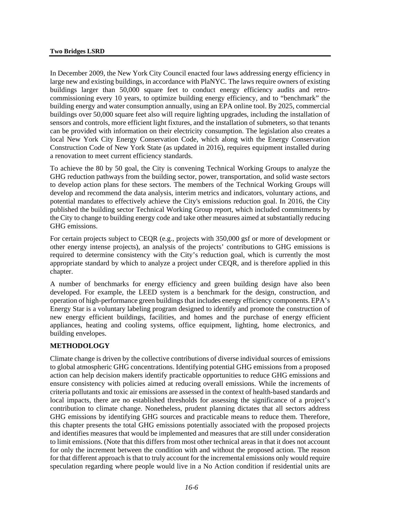In December 2009, the New York City Council enacted four laws addressing energy efficiency in large new and existing buildings, in accordance with PlaNYC. The laws require owners of existing buildings larger than 50,000 square feet to conduct energy efficiency audits and retrocommissioning every 10 years, to optimize building energy efficiency, and to "benchmark" the building energy and water consumption annually, using an EPA online tool. By 2025, commercial buildings over 50,000 square feet also will require lighting upgrades, including the installation of sensors and controls, more efficient light fixtures, and the installation of submeters, so that tenants can be provided with information on their electricity consumption. The legislation also creates a local New York City Energy Conservation Code, which along with the Energy Conservation Construction Code of New York State (as updated in 2016), requires equipment installed during a renovation to meet current efficiency standards.

To achieve the 80 by 50 goal, the City is convening Technical Working Groups to analyze the GHG reduction pathways from the building sector, power, transportation, and solid waste sectors to develop action plans for these sectors. The members of the Technical Working Groups will develop and recommend the data analysis, interim metrics and indicators, voluntary actions, and potential mandates to effectively achieve the City's emissions reduction goal. In 2016, the City published the building sector Technical Working Group report, which included commitments by the City to change to building energy code and take other measures aimed at substantially reducing GHG emissions.

For certain projects subject to CEQR (e.g., projects with 350,000 gsf or more of development or other energy intense projects), an analysis of the projects' contributions to GHG emissions is required to determine consistency with the City's reduction goal, which is currently the most appropriate standard by which to analyze a project under CEQR, and is therefore applied in this chapter.

A number of benchmarks for energy efficiency and green building design have also been developed. For example, the LEED system is a benchmark for the design, construction, and operation of high-performance green buildings that includes energy efficiency components. EPA's Energy Star is a voluntary labeling program designed to identify and promote the construction of new energy efficient buildings, facilities, and homes and the purchase of energy efficient appliances, heating and cooling systems, office equipment, lighting, home electronics, and building envelopes.

### **METHODOLOGY**

Climate change is driven by the collective contributions of diverse individual sources of emissions to global atmospheric GHG concentrations. Identifying potential GHG emissions from a proposed action can help decision makers identify practicable opportunities to reduce GHG emissions and ensure consistency with policies aimed at reducing overall emissions. While the increments of criteria pollutants and toxic air emissions are assessed in the context of health-based standards and local impacts, there are no established thresholds for assessing the significance of a project's contribution to climate change. Nonetheless, prudent planning dictates that all sectors address GHG emissions by identifying GHG sources and practicable means to reduce them. Therefore, this chapter presents the total GHG emissions potentially associated with the proposed projects and identifies measures that would be implemented and measures that are still under consideration to limit emissions. (Note that this differs from most other technical areas in that it does not account for only the increment between the condition with and without the proposed action. The reason for that different approach is that to truly account for the incremental emissions only would require speculation regarding where people would live in a No Action condition if residential units are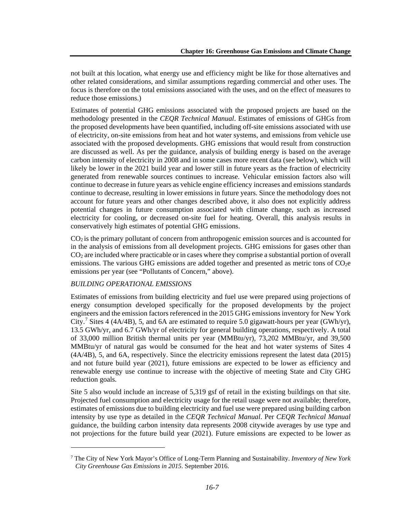not built at this location, what energy use and efficiency might be like for those alternatives and other related considerations, and similar assumptions regarding commercial and other uses. The focus is therefore on the total emissions associated with the uses, and on the effect of measures to reduce those emissions.)

Estimates of potential GHG emissions associated with the proposed projects are based on the methodology presented in the *CEQR Technical Manual*. Estimates of emissions of GHGs from the proposed developments have been quantified, including off-site emissions associated with use of electricity, on-site emissions from heat and hot water systems, and emissions from vehicle use associated with the proposed developments. GHG emissions that would result from construction are discussed as well. As per the guidance, analysis of building energy is based on the average carbon intensity of electricity in 2008 and in some cases more recent data (see below), which will likely be lower in the 2021 build year and lower still in future years as the fraction of electricity generated from renewable sources continues to increase. Vehicular emission factors also will continue to decrease in future years as vehicle engine efficiency increases and emissions standards continue to decrease, resulting in lower emissions in future years. Since the methodology does not account for future years and other changes described above, it also does not explicitly address potential changes in future consumption associated with climate change, such as increased electricity for cooling, or decreased on-site fuel for heating. Overall, this analysis results in conservatively high estimates of potential GHG emissions.

 $CO<sub>2</sub>$  is the primary pollutant of concern from anthropogenic emission sources and is accounted for in the analysis of emissions from all development projects. GHG emissions for gases other than CO2 are included where practicable or in cases where they comprise a substantial portion of overall emissions. The various GHG emissions are added together and presented as metric tons of  $CO<sub>2</sub>e$ emissions per year (see "Pollutants of Concern," above).

### *BUILDING OPERATIONAL EMISSIONS*

 $\overline{a}$ 

Estimates of emissions from building electricity and fuel use were prepared using projections of energy consumption developed specifically for the proposed developments by the project engineers and the emission factors referenced in the 2015 GHG emissions inventory for New York City.<sup>[7](#page-6-0)</sup> Sites 4 (4A/4B), 5, and 6A are estimated to require 5.0 gigawatt-hours per year (GWh/yr), 13.5 GWh/yr, and 6.7 GWh/yr of electricity for general building operations, respectively. A total of 33,000 million British thermal units per year (MMBtu/yr), 73,202 MMBtu/yr, and 39,500 MMBtu/yr of natural gas would be consumed for the heat and hot water systems of Sites 4 (4A/4B), 5, and 6A, respectively. Since the electricity emissions represent the latest data (2015) and not future build year (2021), future emissions are expected to be lower as efficiency and renewable energy use continue to increase with the objective of meeting State and City GHG reduction goals.

Site 5 also would include an increase of 5,319 gsf of retail in the existing buildings on that site. Projected fuel consumption and electricity usage for the retail usage were not available; therefore, estimates of emissions due to building electricity and fuel use were prepared using building carbon intensity by use type as detailed in the *CEQR Technical Manual*. Per *CEQR Technical Manual* guidance, the building carbon intensity data represents 2008 citywide averages by use type and not projections for the future build year (2021). Future emissions are expected to be lower as

<span id="page-6-0"></span><sup>7</sup> The City of New York Mayor's Office of Long-Term Planning and Sustainability. *Inventory of New York City Greenhouse Gas Emissions in 2015*. September 2016.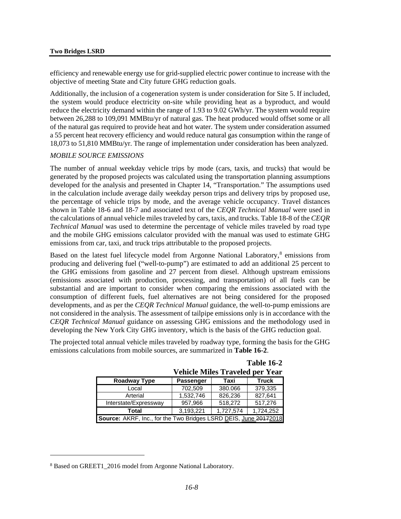efficiency and renewable energy use for grid-supplied electric power continue to increase with the objective of meeting State and City future GHG reduction goals.

Additionally, the inclusion of a cogeneration system is under consideration for Site 5. If included, the system would produce electricity on-site while providing heat as a byproduct, and would reduce the electricity demand within the range of 1.93 to 9.02 GWh/yr. The system would require between 26,288 to 109,091 MMBtu/yr of natural gas. The heat produced would offset some or all of the natural gas required to provide heat and hot water. The system under consideration assumed a 55 percent heat recovery efficiency and would reduce natural gas consumption within the range of 18,073 to 51,810 MMBtu/yr. The range of implementation under consideration has been analyzed.

#### *MOBILE SOURCE EMISSIONS*

The number of annual weekday vehicle trips by mode (cars, taxis, and trucks) that would be generated by the proposed projects was calculated using the transportation planning assumptions developed for the analysis and presented in Chapter 14, "Transportation." The assumptions used in the calculation include average daily weekday person trips and delivery trips by proposed use, the percentage of vehicle trips by mode, and the average vehicle occupancy. Travel distances shown in Table 18-6 and 18-7 and associated text of the *CEQR Technical Manual* were used in the calculations of annual vehicle miles traveled by cars, taxis, and trucks. Table 18-8 of the *CEQR Technical Manual* was used to determine the percentage of vehicle miles traveled by road type and the mobile GHG emissions calculator provided with the manual was used to estimate GHG emissions from car, taxi, and truck trips attributable to the proposed projects.

Based on the latest fuel lifecycle model from Argonne National Laboratory,<sup>[8](#page-7-0)</sup> emissions from producing and delivering fuel ("well-to-pump") are estimated to add an additional 25 percent to the GHG emissions from gasoline and 27 percent from diesel. Although upstream emissions (emissions associated with production, processing, and transportation) of all fuels can be substantial and are important to consider when comparing the emissions associated with the consumption of different fuels, fuel alternatives are not being considered for the proposed developments, and as per the *CEQR Technical Manual* guidance, the well-to-pump emissions are not considered in the analysis. The assessment of tailpipe emissions only is in accordance with the *CEQR Technical Manual* guidance on assessing GHG emissions and the methodology used in developing the New York City GHG inventory, which is the basis of the GHG reduction goal.

The projected total annual vehicle miles traveled by roadway type, forming the basis for the GHG emissions calculations from mobile sources, are summarized in **Table 16-2**.

| <b>Vehicle Miles Traveled per Year</b>                           |                  |         |              |  |
|------------------------------------------------------------------|------------------|---------|--------------|--|
| Roadway Type                                                     | <b>Passenger</b> | Taxi    | <b>Truck</b> |  |
| Local                                                            | 702,509          | 380.066 | 379,335      |  |
| Arterial                                                         | 1,532,746        | 826,236 | 827,641      |  |
| 518,272<br>957,966<br>517,276<br>Interstate/Expressway           |                  |         |              |  |
| 1,727,574<br>1,724,252<br>3,193,221<br>Total                     |                  |         |              |  |
| Source: AKRF, Inc., for the Two Bridges LSRD DEIS, June 20172018 |                  |         |              |  |

|  |                               | <b>Table 16-2</b> |
|--|-------------------------------|-------------------|
|  | hicle Miles Traveled per Year |                   |

<span id="page-7-0"></span><sup>&</sup>lt;sup>8</sup> Based on GREET1 2016 model from Argonne National Laboratory.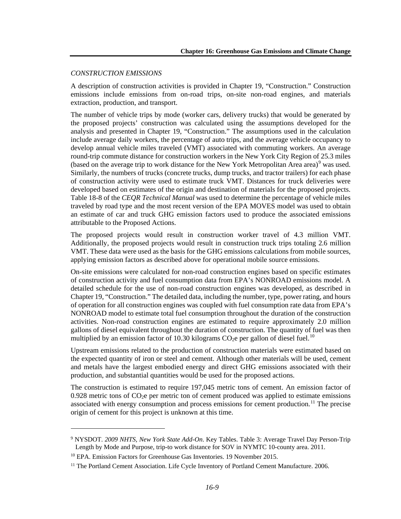#### *CONSTRUCTION EMISSIONS*

A description of construction activities is provided in Chapter 19, "Construction." Construction emissions include emissions from on-road trips, on-site non-road engines, and materials extraction, production, and transport.

The number of vehicle trips by mode (worker cars, delivery trucks) that would be generated by the proposed projects' construction was calculated using the assumptions developed for the analysis and presented in Chapter 19, "Construction." The assumptions used in the calculation include average daily workers, the percentage of auto trips, and the average vehicle occupancy to develop annual vehicle miles traveled (VMT) associated with commuting workers. An average round-trip commute distance for construction workers in the New York City Region of 25.3 miles (based on the average trip to work distance for the New York Metropolitan Area area) $9$  was used. Similarly, the numbers of trucks (concrete trucks, dump trucks, and tractor trailers) for each phase of construction activity were used to estimate truck VMT. Distances for truck deliveries were developed based on estimates of the origin and destination of materials for the proposed projects. Table 18-8 of the *CEQR Technical Manual* was used to determine the percentage of vehicle miles traveled by road type and the most recent version of the EPA MOVES model was used to obtain an estimate of car and truck GHG emission factors used to produce the associated emissions attributable to the Proposed Actions.

The proposed projects would result in construction worker travel of 4.3 million VMT. Additionally, the proposed projects would result in construction truck trips totaling 2.6 million VMT. These data were used as the basis for the GHG emissions calculations from mobile sources, applying emission factors as described above for operational mobile source emissions.

On-site emissions were calculated for non-road construction engines based on specific estimates of construction activity and fuel consumption data from EPA's NONROAD emissions model. A detailed schedule for the use of non-road construction engines was developed, as described in Chapter 19, "Construction." The detailed data, including the number, type, power rating, and hours of operation for all construction engines was coupled with fuel consumption rate data from EPA's NONROAD model to estimate total fuel consumption throughout the duration of the construction activities. Non-road construction engines are estimated to require approximately 2.0 million gallons of diesel equivalent throughout the duration of construction. The quantity of fuel was then multiplied by an emission factor of [10](#page-8-1).30 kilograms  $CO<sub>2</sub>e$  per gallon of diesel fuel.<sup>10</sup>

Upstream emissions related to the production of construction materials were estimated based on the expected quantity of iron or steel and cement. Although other materials will be used, cement and metals have the largest embodied energy and direct GHG emissions associated with their production, and substantial quantities would be used for the proposed actions.

The construction is estimated to require 197,045 metric tons of cement. An emission factor of 0.928 metric tons of  $CO<sub>2</sub>e$  per metric ton of cement produced was applied to estimate emissions associated with energy consumption and process emissions for cement production.<sup>[11](#page-8-2)</sup> The precise origin of cement for this project is unknown at this time.

<span id="page-8-0"></span><sup>9</sup> NYSDOT. *2009 NHTS, New York State Add-On*. Key Tables. Table 3: Average Travel Day Person-Trip Length by Mode and Purpose, trip-to work distance for SOV in NYMTC 10-county area. 2011.

<span id="page-8-1"></span><sup>&</sup>lt;sup>10</sup> EPA. Emission Factors for Greenhouse Gas Inventories. 19 November 2015.

<span id="page-8-2"></span><sup>&</sup>lt;sup>11</sup> The Portland Cement Association. Life Cycle Inventory of Portland Cement Manufacture. 2006.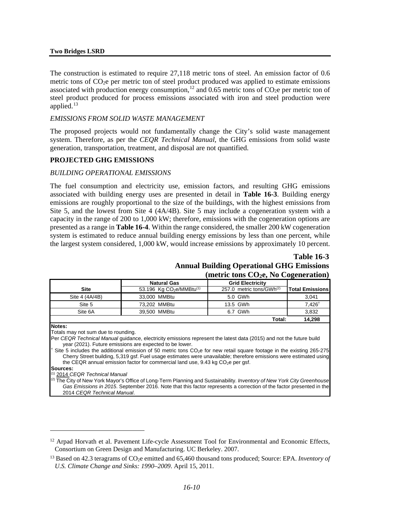#### **Two Bridges LSRD**

The construction is estimated to require 27,118 metric tons of steel. An emission factor of 0.6 metric tons of  $CO<sub>2</sub>e$  per metric ton of steel product produced was applied to estimate emissions associated with production energy consumption,<sup>[12](#page-9-0)</sup> and 0.65 metric tons of  $CO<sub>2</sub>e$  per metric ton of steel product produced for process emissions associated with iron and steel production were applied. $13$ 

#### *EMISSIONS FROM SOLID WASTE MANAGEMENT*

The proposed projects would not fundamentally change the City's solid waste management system. Therefore, as per the *CEQR Technical Manual*, the GHG emissions from solid waste generation, transportation, treatment, and disposal are not quantified.

#### **PROJECTED GHG EMISSIONS**

#### *BUILDING OPERATIONAL EMISSIONS*

The fuel consumption and electricity use, emission factors, and resulting GHG emissions associated with building energy uses are presented in detail in **Table 16-3**. Building energy emissions are roughly proportional to the size of the buildings, with the highest emissions from Site 5, and the lowest from Site 4 (4A/4B). Site 5 may include a cogeneration system with a capacity in the range of 200 to 1,000 kW; therefore, emissions with the cogeneration options are presented as a range in **Table 16-4**. Within the range considered, the smaller 200 kW cogeneration system is estimated to reduce annual building energy emissions by less than one percent, while the largest system considered, 1,000 kW, would increase emissions by approximately 10 percent.

# **Table 16-3**

#### **Annual Building Operational GHG Emissions (metric tons CO2e, No Cogeneration)**

|                | <b>Natural Gas</b>        | <b>Grid Electricity</b>              |                        |
|----------------|---------------------------|--------------------------------------|------------------------|
| <b>Site</b>    | 53.196 Kg $CO2e/MMBtu(1)$ | 257.0 metric tons/GWh <sup>(2)</sup> | <b>Total Emissions</b> |
| Site 4 (4A/4B) | 33.000 MMBtu              | 5.0 GWh                              | 3,041                  |
| Site 5         | 73.202 MMBtu              | 13.5 GWh                             | $7.426^{\dagger}$      |
| Site 6A        | 39.500 MMBtu              | 6.7 GWh                              | 3,832                  |
|                |                           | Total:                               | 14.298                 |

**Notes:**

Totals may not sum due to rounding.

Site 5 includes the additional emission of 50 metric tons  $CO<sub>2</sub>$ e for new retail square footage in the existing 265-275 Cherry Street building, 5,319 gsf. Fuel usage estimates were unavailable; therefore emissions were estimated using the CEQR annual emission factor for commercial land use,  $9.43$  kg CO<sub>2</sub>e per gsf.

**Sources:**

 $\overline{a}$ 

(1) 2014 *CEQR Technical Manual* 

(2) The City of New York Mayor's Office of Long-Term Planning and Sustainability. *Inventory of New York City Greenhouse Gas Emissions in 2015*. September 2016. Note that this factor represents a correction of the factor presented in the 2014 *CEQR Technical Manual*.

Per *CEQR Technical Manual* guidance, electricity emissions represent the latest data (2015) and not the future build year (2021). Future emissions are expected to be lower.

<span id="page-9-0"></span> $12$  Arpad Horvath et al. Pavement Life-cycle Assessment Tool for Environmental and Economic Effects, Consortium on Green Design and Manufacturing. UC Berkeley. 2007.

<span id="page-9-1"></span><sup>&</sup>lt;sup>13</sup> Based on 42.3 teragrams of CO<sub>2</sub>e emitted and 65,460 thousand tons produced; Source: EPA. *Inventory of U.S. Climate Change and Sinks: 1990–2009*. April 15, 2011.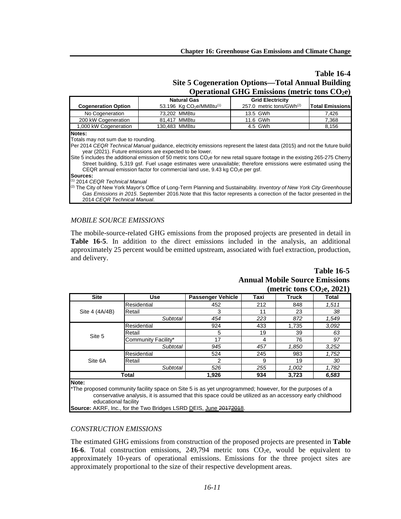## **Table 16-4 Site 5 Cogeneration Options—Total Annual Building Operational GHG Emissions (metric tons CO2e)**

| <b>Grid Electricity</b><br><b>Natural Gas</b><br>53.196 Kg $CO2e/MMBtu(1)$<br>257.0 metric tons/GWh <sup>(2)</sup><br><b>Cogeneration Option</b><br>73,202 MMBtu<br>No Cogeneration<br>13.5 GWh<br>7.426<br>200 kW Cogeneration<br>81.417 MMBtu<br>11.6 GWh<br>7,368<br>1,000 kW Cogeneration<br>130,483 MMBtu<br>4.5 GWh<br>8,156<br>Notes:<br>Totals may not sum due to rounding.<br>Per 2014 CEQR Technical Manual guidance, electricity emissions represent the latest data (2015) and not the future build<br>year (2021). Future emissions are expected to be lower.<br>Site 5 includes the additional emission of 50 metric tons $CO2e$ for new retail square footage in the existing 265-275 Cherry<br>Street building, 5,319 gsf. Fuel usage estimates were unavailable; therefore emissions were estimated using the |                        |  |  |  |  |  |
|--------------------------------------------------------------------------------------------------------------------------------------------------------------------------------------------------------------------------------------------------------------------------------------------------------------------------------------------------------------------------------------------------------------------------------------------------------------------------------------------------------------------------------------------------------------------------------------------------------------------------------------------------------------------------------------------------------------------------------------------------------------------------------------------------------------------------------|------------------------|--|--|--|--|--|
|                                                                                                                                                                                                                                                                                                                                                                                                                                                                                                                                                                                                                                                                                                                                                                                                                                |                        |  |  |  |  |  |
|                                                                                                                                                                                                                                                                                                                                                                                                                                                                                                                                                                                                                                                                                                                                                                                                                                | <b>Total Emissions</b> |  |  |  |  |  |
|                                                                                                                                                                                                                                                                                                                                                                                                                                                                                                                                                                                                                                                                                                                                                                                                                                |                        |  |  |  |  |  |
|                                                                                                                                                                                                                                                                                                                                                                                                                                                                                                                                                                                                                                                                                                                                                                                                                                |                        |  |  |  |  |  |
|                                                                                                                                                                                                                                                                                                                                                                                                                                                                                                                                                                                                                                                                                                                                                                                                                                |                        |  |  |  |  |  |
| CEQR annual emission factor for commercial land use, $9.43$ kg CO <sub>2</sub> e per gsf.<br>Sources:                                                                                                                                                                                                                                                                                                                                                                                                                                                                                                                                                                                                                                                                                                                          |                        |  |  |  |  |  |
| $(1)$ 2014 CEQR Technical Manual<br><sup>[2]</sup> The City of New York Mayor's Office of Long-Term Planning and Sustainability. Inventory of New York City Greenhouse                                                                                                                                                                                                                                                                                                                                                                                                                                                                                                                                                                                                                                                         |                        |  |  |  |  |  |

*Gas Emissions in 2015*. September 2016.Note that this factor represents a correction of the factor presented in the 2014 *CEQR Technical Manual*.

### *MOBILE SOURCE EMISSIONS*

The mobile-source-related GHG emissions from the proposed projects are presented in detail in **Table 16-5**. In addition to the direct emissions included in the analysis, an additional approximately 25 percent would be emitted upstream, associated with fuel extraction, production, and delivery.

## **Table 16-5 Annual Mobile Source Emissions (metric tons CO2e, 2021)**

| $-2 - 7 - 7 - 7$                        |                                                                                                                                                                                                                   |                          |      |              |       |
|-----------------------------------------|-------------------------------------------------------------------------------------------------------------------------------------------------------------------------------------------------------------------|--------------------------|------|--------------|-------|
| <b>Site</b>                             | <b>Use</b>                                                                                                                                                                                                        | <b>Passenger Vehicle</b> | Taxi | <b>Truck</b> | Total |
|                                         | Residential                                                                                                                                                                                                       | 452                      | 212  | 848          | 1,511 |
| Site 4 (4A/4B)                          | Retail                                                                                                                                                                                                            | 3                        | 11   | 23           | 38    |
|                                         | Subtotal                                                                                                                                                                                                          | 454                      | 223  | 872          | 1,549 |
|                                         | Residential                                                                                                                                                                                                       | 924                      | 433  | 1,735        | 3.092 |
|                                         | Retail                                                                                                                                                                                                            | 5                        | 19   | 39           | 63    |
| Site 5                                  | Community Facility*                                                                                                                                                                                               | 17                       | 4    | 76           | 97    |
|                                         | Subtotal                                                                                                                                                                                                          | 945                      | 457  | 1,850        | 3,252 |
|                                         | Residential                                                                                                                                                                                                       | 524                      | 245  | 983          | 1,752 |
| Site 6A                                 | Retail                                                                                                                                                                                                            | $\mathcal{P}$            | 9    | 19           | 30    |
|                                         | Subtotal                                                                                                                                                                                                          | 526                      | 255  | 1,002        | 1,782 |
| Total<br>1,926<br>934<br>3,723<br>6,583 |                                                                                                                                                                                                                   |                          |      |              |       |
| Note:                                   |                                                                                                                                                                                                                   |                          |      |              |       |
|                                         | *The proposed community facility space on Site 5 is as yet unprogrammed; however, for the purposes of a<br>conservative analysis, it is assumed that this space could be utilized as an accessory early childhood |                          |      |              |       |

educational facility

Source: AKRF, Inc., for the Two Bridges LSRD DEIS, June 20172018.

#### *CONSTRUCTION EMISSIONS*

The estimated GHG emissions from construction of the proposed projects are presented in **Table**  16-6. Total construction emissions,  $249,794$  metric tons  $CO<sub>2</sub>e$ , would be equivalent to approximately 10-years of operational emissions. Emissions for the three project sites are approximately proportional to the size of their respective development areas.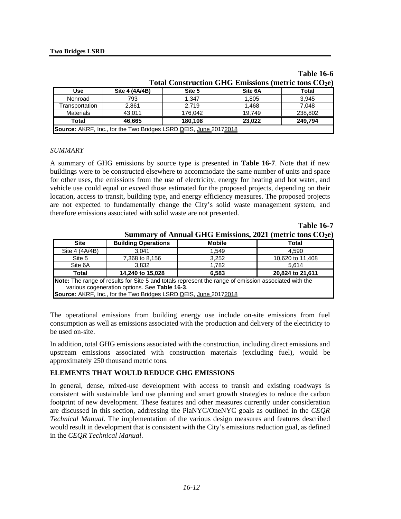| Total Construction GHG Emissions (metric tons CO <sub>2</sub> e) |                |        |         |       |  |  |
|------------------------------------------------------------------|----------------|--------|---------|-------|--|--|
| <b>Use</b>                                                       | Site 4 (4A/4B) | Site 5 | Site 6A | Total |  |  |
| Nonroad                                                          | 793            | 1,347  | 1,805   | 3,945 |  |  |
| 7.048<br><b>Transportation</b><br>2.719<br>1.468<br>2,861        |                |        |         |       |  |  |
| 238,802<br><b>Materials</b><br>43.011<br>176,042<br>19.749       |                |        |         |       |  |  |
| 249,794<br>Total<br>180,108<br>46.665<br>23.022                  |                |        |         |       |  |  |
| Source: AKRF, Inc., for the Two Bridges LSRD DEIS, June 20172018 |                |        |         |       |  |  |

|                                                                  | <b>Table 16-6</b> |
|------------------------------------------------------------------|-------------------|
| Total Construction GHG Emissions (metric tons CO <sub>2</sub> e) |                   |

**Table 16-7**

#### *SUMMARY*

A summary of GHG emissions by source type is presented in **Table 16-7**. Note that if new buildings were to be constructed elsewhere to accommodate the same number of units and space for other uses, the emissions from the use of electricity, energy for heating and hot water, and vehicle use could equal or exceed those estimated for the proposed projects, depending on their location, access to transit, building type, and energy efficiency measures. The proposed projects are not expected to fundamentally change the City's solid waste management system, and therefore emissions associated with solid waste are not presented.

| Summary of Annual GHG Emissions, $2021$ (metric tons $CO2e$ )                                                                                         |                            |               |       |  |  |  |  |
|-------------------------------------------------------------------------------------------------------------------------------------------------------|----------------------------|---------------|-------|--|--|--|--|
| <b>Site</b>                                                                                                                                           | <b>Building Operations</b> | <b>Mobile</b> | Total |  |  |  |  |
| Site 4 (4A/4B)                                                                                                                                        | 1,549<br>3.041<br>4.590    |               |       |  |  |  |  |
| 7,368 to 8,156<br>10,620 to 11,408<br>Site 5<br>3,252                                                                                                 |                            |               |       |  |  |  |  |
| Site 6A<br>3.832<br>1.782<br>5.614                                                                                                                    |                            |               |       |  |  |  |  |
| 14,240 to 15,028<br>20,824 to 21,611<br>6,583<br><b>Total</b>                                                                                         |                            |               |       |  |  |  |  |
| Note: The range of results for Site 5 and totals represent the range of emission associated with the<br>various cogeneration options. See Table 16-3. |                            |               |       |  |  |  |  |
| Source: AKRF, Inc., for the Two Bridges LSRD DEIS, June 20172018                                                                                      |                            |               |       |  |  |  |  |

The operational emissions from building energy use include on-site emissions from fuel consumption as well as emissions associated with the production and delivery of the electricity to be used on-site.

In addition, total GHG emissions associated with the construction, including direct emissions and upstream emissions associated with construction materials (excluding fuel), would be approximately 250 thousand metric tons.

### **ELEMENTS THAT WOULD REDUCE GHG EMISSIONS**

In general, dense, mixed-use development with access to transit and existing roadways is consistent with sustainable land use planning and smart growth strategies to reduce the carbon footprint of new development. These features and other measures currently under consideration are discussed in this section, addressing the PlaNYC/OneNYC goals as outlined in the *CEQR Technical Manual*. The implementation of the various design measures and features described would result in development that is consistent with the City's emissions reduction goal, as defined in the *CEQR Technical Manual*.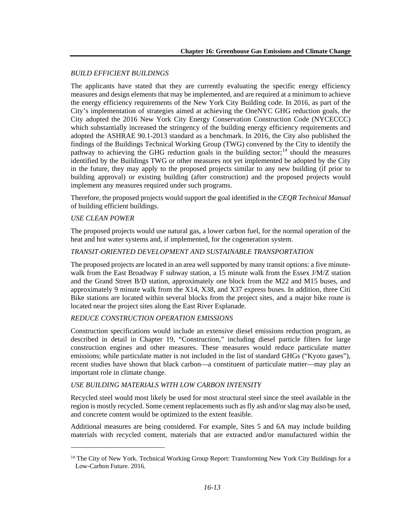## *BUILD EFFICIENT BUILDINGS*

The applicants have stated that they are currently evaluating the specific energy efficiency measures and design elements that may be implemented, and are required at a minimum to achieve the energy efficiency requirements of the New York City Building code. In 2016, as part of the City's implementation of strategies aimed at achieving the OneNYC GHG reduction goals, the City adopted the 2016 New York City Energy Conservation Construction Code (NYCECCC) which substantially increased the stringency of the building energy efficiency requirements and adopted the ASHRAE 90.1-2013 standard as a benchmark. In 2016, the City also published the findings of the Buildings Technical Working Group (TWG) convened by the City to identify the pathway to achieving the GHG reduction goals in the building sector;<sup>[14](#page-12-0)</sup> should the measures identified by the Buildings TWG or other measures not yet implemented be adopted by the City in the future, they may apply to the proposed projects similar to any new building (if prior to building approval) or existing building (after construction) and the proposed projects would implement any measures required under such programs.

Therefore, the proposed projects would support the goal identified in the *CEQR Technical Manual* of building efficient buildings.

## *USE CLEAN POWER*

 $\overline{a}$ 

The proposed projects would use natural gas, a lower carbon fuel, for the normal operation of the heat and hot water systems and, if implemented, for the cogeneration system.

### *TRANSIT*‐*ORIENTED DEVELOPMENT AND SUSTAINABLE TRANSPORTATION*

The proposed projects are located in an area well supported by many transit options: a five minutewalk from the East Broadway F subway station, a 15 minute walk from the Essex J/M/Z station and the Grand Street B/D station, approximately one block from the M22 and M15 buses, and approximately 9 minute walk from the X14, X38, and X37 express buses. In addition, three Citi Bike stations are located within several blocks from the project sites, and a major bike route is located near the project sites along the East River Esplanade.

## *REDUCE CONSTRUCTION OPERATION EMISSIONS*

Construction specifications would include an extensive diesel emissions reduction program, as described in detail in Chapter 19, "Construction," including diesel particle filters for large construction engines and other measures. These measures would reduce particulate matter emissions; while particulate matter is not included in the list of standard GHGs ("Kyoto gases"), recent studies have shown that black carbon—a constituent of particulate matter—may play an important role in climate change.

### *USE BUILDING MATERIALS WITH LOW CARBON INTENSITY*

Recycled steel would most likely be used for most structural steel since the steel available in the region is mostly recycled. Some cement replacements such as fly ash and/or slag may also be used, and concrete content would be optimized to the extent feasible.

Additional measures are being considered. For example, Sites 5 and 6A may include building materials with recycled content, materials that are extracted and/or manufactured within the

<span id="page-12-0"></span><sup>&</sup>lt;sup>14</sup> The City of New York. Technical Working Group Report: Transforming New York City Buildings for a Low-Carbon Future. 2016.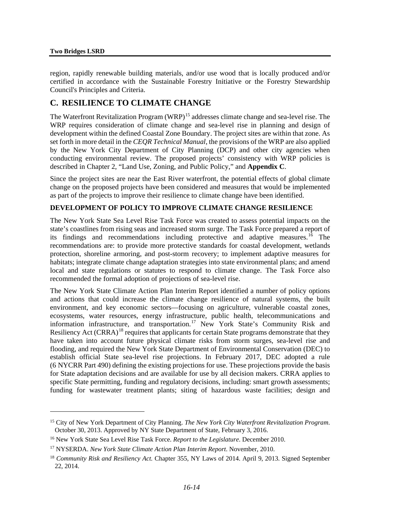$\overline{a}$ 

region, rapidly renewable building materials, and/or use wood that is locally produced and/or certified in accordance with the Sustainable Forestry Initiative or the Forestry Stewardship Council's Principles and Criteria.

# **C. RESILIENCE TO CLIMATE CHANGE**

The Waterfront Revitalization Program (WRP)<sup>[15](#page-13-0)</sup> addresses climate change and sea-level rise. The WRP requires consideration of climate change and sea-level rise in planning and design of development within the defined Coastal Zone Boundary. The project sites are within that zone. As set forth in more detail in the *CEQR Technical Manual*, the provisions of the WRP are also applied by the New York City Department of City Planning (DCP) and other city agencies when conducting environmental review. The proposed projects' consistency with WRP policies is described in Chapter 2, "Land Use, Zoning, and Public Policy," and **Appendix C**.

Since the project sites are near the East River waterfront, the potential effects of global climate change on the proposed projects have been considered and measures that would be implemented as part of the projects to improve their resilience to climate change have been identified.

## **DEVELOPMENT OF POLICY TO IMPROVE CLIMATE CHANGE RESILIENCE**

The New York State Sea Level Rise Task Force was created to assess potential impacts on the state's coastlines from rising seas and increased storm surge. The Task Force prepared a report of its findings and recommendations including protective and adaptive measures.<sup>[16](#page-13-1)</sup> The recommendations are: to provide more protective standards for coastal development, wetlands protection, shoreline armoring, and post-storm recovery; to implement adaptive measures for habitats; integrate climate change adaptation strategies into state environmental plans; and amend local and state regulations or statutes to respond to climate change. The Task Force also recommended the formal adoption of projections of sea-level rise.

The New York State Climate Action Plan Interim Report identified a number of policy options and actions that could increase the climate change resilience of natural systems, the built environment, and key economic sectors—focusing on agriculture, vulnerable coastal zones, ecosystems, water resources, energy infrastructure, public health, telecommunications and information infrastructure, and transportation.<sup>[17](#page-13-2)</sup> New York State's Community Risk and Resiliency Act (CRRA)<sup>[18](#page-13-3)</sup> requires that applicants for certain State programs demonstrate that they have taken into account future physical climate risks from storm surges, sea-level rise and flooding, and required the New York State Department of Environmental Conservation (DEC) to establish official State sea-level rise projections. In February 2017, DEC adopted a rule (6 NYCRR Part 490) defining the existing projections for use. These projections provide the basis for State adaptation decisions and are available for use by all decision makers. CRRA applies to specific State permitting, funding and regulatory decisions, including: smart growth assessments; funding for wastewater treatment plants; siting of hazardous waste facilities; design and

<span id="page-13-0"></span><sup>15</sup> City of New York Department of City Planning. *The New York City Waterfront Revitalization Program*. October 30, 2013. Approved by NY State Department of State, February 3, 2016.

<span id="page-13-1"></span><sup>16</sup> New York State Sea Level Rise Task Force. *Report to the Legislature*. December 2010.

<span id="page-13-2"></span><sup>17</sup> NYSERDA. *New York State Climate Action Plan Interim Report*. November, 2010.

<span id="page-13-3"></span><sup>18</sup> *Community Risk and Resiliency Act.* Chapter 355, NY Laws of 2014. April 9, 2013. Signed September 22, 2014.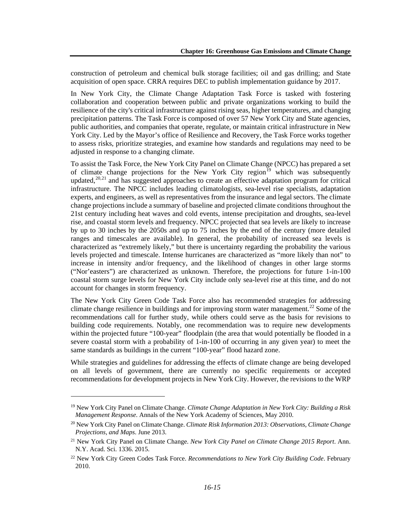construction of petroleum and chemical bulk storage facilities; oil and gas drilling; and State acquisition of open space. CRRA requires DEC to publish implementation guidance by 2017.

In New York City, the Climate Change Adaptation Task Force is tasked with fostering collaboration and cooperation between public and private organizations working to build the resilience of the city's critical infrastructure against rising seas, higher temperatures, and changing precipitation patterns. The Task Force is composed of over 57 New York City and State agencies, public authorities, and companies that operate, regulate, or maintain critical infrastructure in New York City. Led by the Mayor's office of Resilience and Recovery, the Task Force works together to assess risks, prioritize strategies, and examine how standards and regulations may need to be adjusted in response to a changing climate.

To assist the Task Force, the New York City Panel on Climate Change (NPCC) has prepared a set of climate change projections for the New York City region<sup>[19](#page-14-0)</sup> which was subsequently updated, $20,21$  $20,21$  $20,21$  and has suggested approaches to create an effective adaptation program for critical infrastructure. The NPCC includes leading climatologists, sea-level rise specialists, adaptation experts, and engineers, as well as representatives from the insurance and legal sectors. The climate change projections include a summary of baseline and projected climate conditions throughout the 21st century including heat waves and cold events, intense precipitation and droughts, sea-level rise, and coastal storm levels and frequency. NPCC projected that sea levels are likely to increase by up to 30 inches by the 2050s and up to 75 inches by the end of the century (more detailed ranges and timescales are available). In general, the probability of increased sea levels is characterized as "extremely likely," but there is uncertainty regarding the probability the various levels projected and timescale. Intense hurricanes are characterized as "more likely than not" to increase in intensity and/or frequency, and the likelihood of changes in other large storms ("Nor'easters") are characterized as unknown. Therefore, the projections for future 1-in-100 coastal storm surge levels for New York City include only sea-level rise at this time, and do not account for changes in storm frequency.

The New York City Green Code Task Force also has recommended strategies for addressing climate change resilience in buildings and for improving storm water management.<sup>[22](#page-14-3)</sup> Some of the recommendations call for further study, while others could serve as the basis for revisions to building code requirements. Notably, one recommendation was to require new developments within the projected future "100-year" floodplain (the area that would potentially be flooded in a severe coastal storm with a probability of 1-in-100 of occurring in any given year) to meet the same standards as buildings in the current "100-year" flood hazard zone.

While strategies and guidelines for addressing the effects of climate change are being developed on all levels of government, there are currently no specific requirements or accepted recommendations for development projects in New York City. However, the revisions to the WRP

<span id="page-14-0"></span><sup>19</sup> New York City Panel on Climate Change. *Climate Change Adaptation in New York City: Building a Risk Management Response*. Annals of the New York Academy of Sciences, May 2010.

<span id="page-14-1"></span><sup>20</sup> New York City Panel on Climate Change. *Climate Risk Information 2013: Observations, Climate Change Projections, and Maps*. June 2013.

<span id="page-14-2"></span><sup>21</sup> New York City Panel on Climate Change. *New York City Panel on Climate Change 2015 Report*. Ann. N.Y. Acad. Sci. 1336. 2015.

<span id="page-14-3"></span><sup>22</sup> New York City Green Codes Task Force. *Recommendations to New York City Building Code*. February 2010.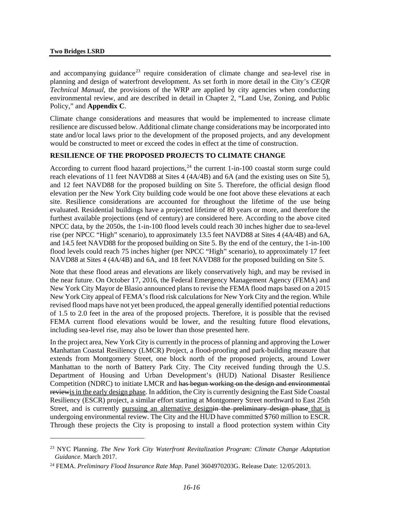$\overline{a}$ 

and accompanying guidance<sup>[23](#page-15-0)</sup> require consideration of climate change and sea-level rise in planning and design of waterfront development. As set forth in more detail in the City's *CEQR Technical Manual*, the provisions of the WRP are applied by city agencies when conducting environmental review, and are described in detail in Chapter 2, "Land Use, Zoning, and Public Policy," and **Appendix C**.

Climate change considerations and measures that would be implemented to increase climate resilience are discussed below. Additional climate change considerations may be incorporated into state and/or local laws prior to the development of the proposed projects, and any development would be constructed to meet or exceed the codes in effect at the time of construction.

#### **RESILIENCE OF THE PROPOSED PROJECTS TO CLIMATE CHANGE**

According to current flood hazard projections,  $24$  the current 1-in-100 coastal storm surge could reach elevations of 11 feet NAVD88 at Sites 4 (4A/4B) and 6A (and the existing uses on Site 5), and 12 feet NAVD88 for the proposed building on Site 5. Therefore, the official design flood elevation per the New York City building code would be one foot above these elevations at each site. Resilience considerations are accounted for throughout the lifetime of the use being evaluated. Residential buildings have a projected lifetime of 80 years or more, and therefore the furthest available projections (end of century) are considered here. According to the above cited NPCC data, by the 2050s, the 1-in-100 flood levels could reach 30 inches higher due to sea-level rise (per NPCC "High" scenario), to approximately 13.5 feet NAVD88 at Sites 4 (4A/4B) and 6A, and 14.5 feet NAVD88 for the proposed building on Site 5. By the end of the century, the 1-in-100 flood levels could reach 75 inches higher (per NPCC "High" scenario), to approximately 17 feet NAVD88 at Sites 4 (4A/4B) and 6A, and 18 feet NAVD88 for the proposed building on Site 5.

Note that these flood areas and elevations are likely conservatively high, and may be revised in the near future. On October 17, 2016, the Federal Emergency Management Agency (FEMA) and New York City Mayor de Blasio announced plans to revise the FEMA flood maps based on a 2015 New York City appeal of FEMA's flood risk calculations for New York City and the region. While revised flood maps have not yet been produced, the appeal generally identified potential reductions of 1.5 to 2.0 feet in the area of the proposed projects. Therefore, it is possible that the revised FEMA current flood elevations would be lower, and the resulting future flood elevations, including sea-level rise, may also be lower than those presented here.

In the project area, New York City is currently in the process of planning and approving the Lower Manhattan Coastal Resiliency (LMCR) Project, a flood-proofing and park-building measure that extends from Montgomery Street, one block north of the proposed projects, around Lower Manhattan to the north of Battery Park City. The City received funding through the U.S. Department of Housing and Urban Development's (HUD) National Disaster Resilience Competition (NDRC) to initiate LMCR and has begun working on the design and environmental reviewis in the early design phase. In addition, the City is currently designing the East Side Coastal Resiliency (ESCR) project, a similar effort starting at Montgomery Street northward to East 25th Street, and is currently pursuing an alternative designin the preliminary design phase that is undergoing environmental review. The City and the HUD have committed \$760 million to ESCR. Through these projects the City is proposing to install a flood protection system within City

<span id="page-15-0"></span><sup>23</sup> NYC Planning. *The New York City Waterfront Revitalization Program: Climate Change Adaptation Guidance*. March 2017.

<span id="page-15-1"></span><sup>24</sup> FEMA. *Preliminary Flood Insurance Rate Map*. Panel 3604970203G. Release Date: 12/05/2013.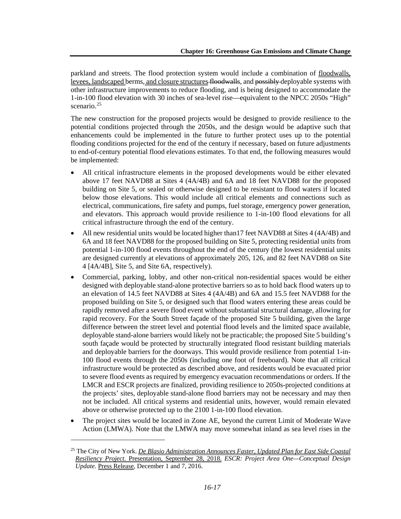parkland and streets. The flood protection system would include a combination of floodwalls, levees, landscaped berms, and closure structures floodwalls, and possibly deployable systems with other infrastructure improvements to reduce flooding, and is being designed to accommodate the 1-in-100 flood elevation with 30 inches of sea-level rise—equivalent to the NPCC 2050s "High" scenario. [25](#page-16-0)

The new construction for the proposed projects would be designed to provide resilience to the potential conditions projected through the 2050s, and the design would be adaptive such that enhancements could be implemented in the future to further protect uses up to the potential flooding conditions projected for the end of the century if necessary, based on future adjustments to end-of-century potential flood elevations estimates. To that end, the following measures would be implemented:

- All critical infrastructure elements in the proposed developments would be either elevated above 17 feet NAVD88 at Sites 4 (4A/4B) and 6A and 18 feet NAVD88 for the proposed building on Site 5, or sealed or otherwise designed to be resistant to flood waters if located below those elevations. This would include all critical elements and connections such as electrical, communications, fire safety and pumps, fuel storage, emergency power generation, and elevators. This approach would provide resilience to 1-in-100 flood elevations for all critical infrastructure through the end of the century.
- All new residential units would be located higher than 17 feet NAVD88 at Sites 4 (4A/4B) and 6A and 18 feet NAVD88 for the proposed building on Site 5, protecting residential units from potential 1-in-100 flood events throughout the end of the century (the lowest residential units are designed currently at elevations of approximately 205, 126, and 82 feet NAVD88 on Site 4 [4A/4B], Site 5, and Site 6A, respectively).
- Commercial, parking, lobby, and other non-critical non-residential spaces would be either designed with deployable stand-alone protective barriers so as to hold back flood waters up to an elevation of 14.5 feet NAVD88 at Sites 4 (4A/4B) and 6A and 15.5 feet NAVD88 for the proposed building on Site 5, or designed such that flood waters entering these areas could be rapidly removed after a severe flood event without substantial structural damage, allowing for rapid recovery. For the South Street façade of the proposed Site 5 building, given the large difference between the street level and potential flood levels and the limited space available, deployable stand-alone barriers would likely not be practicable; the proposed Site 5 building's south façade would be protected by structurally integrated flood resistant building materials and deployable barriers for the doorways. This would provide resilience from potential 1-in-100 flood events through the 2050s (including one foot of freeboard). Note that all critical infrastructure would be protected as described above, and residents would be evacuated prior to severe flood events as required by emergency evacuation recommendations or orders. If the LMCR and ESCR projects are finalized, providing resilience to 2050s-projected conditions at the projects' sites, deployable stand-alone flood barriers may not be necessary and may then not be included. All critical systems and residential units, however, would remain elevated above or otherwise protected up to the 2100 1-in-100 flood elevation.
- The project sites would be located in Zone AE, beyond the current Limit of Moderate Wave Action (LMWA). Note that the LMWA may move somewhat inland as sea level rises in the

<span id="page-16-0"></span><sup>25</sup> The City of New York. *De Blasio Administration Announces Faster, Updated Plan for East Side Coastal Resiliency Project*. Presentation, September 28, 2018. *ESCR: Project Area One—Conceptual Design Update.* Press Release, December 1 and 7, 2016.